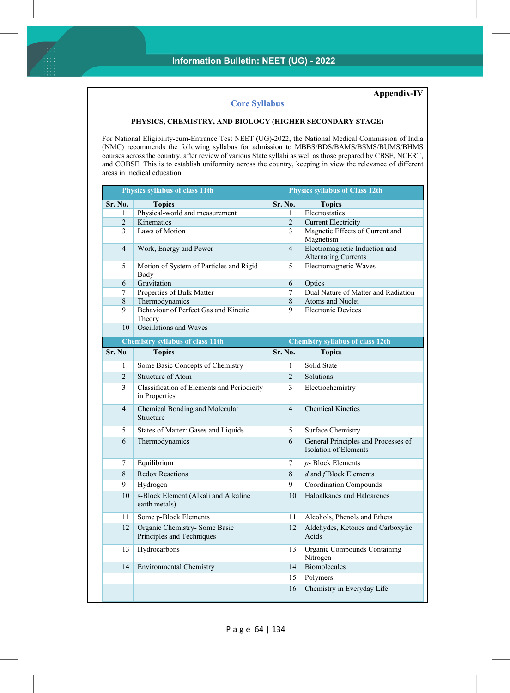

# **Appendix-IV**

# **Core Syllabus**

# **PHYSICS, CHEMISTRY, AND BIOLOGY (HIGHER SECONDARY STAGE)**

For National Eligibility-cum-Entrance Test NEET (UG)-2022, the National Medical Commission of India (NMC) recommends the following syllabus for admission to MBBS/BDS/BAMS/BSMS/BUMS/BHMS courses across the country, after review of various State syllabi as well as those prepared by CBSE, NCERT, and COBSE. This is to establish uniformity across the country, keeping in view the relevance of different areas in medical education.

| Physics syllabus of class 11th |                                                             | <b>Physics syllabus of Class 12th</b> |                                                                     |  |
|--------------------------------|-------------------------------------------------------------|---------------------------------------|---------------------------------------------------------------------|--|
| Sr. No.                        | <b>Topics</b>                                               | Sr. No.                               | <b>Topics</b>                                                       |  |
| 1                              | Physical-world and measurement                              | 1                                     | Electrostatics                                                      |  |
| $\overline{2}$                 | Kinematics                                                  | $\overline{2}$                        | <b>Current Electricity</b>                                          |  |
| 3                              | Laws of Motion                                              | 3                                     | Magnetic Effects of Current and<br>Magnetism                        |  |
| $\overline{4}$                 | Work, Energy and Power                                      | $\overline{4}$                        | Electromagnetic Induction and<br><b>Alternating Currents</b>        |  |
| 5                              | Motion of System of Particles and Rigid<br>Body             | 5                                     | Electromagnetic Waves                                               |  |
| 6                              | Gravitation                                                 | 6                                     | Optics                                                              |  |
| 7                              | Properties of Bulk Matter                                   | 7                                     | Dual Nature of Matter and Radiation                                 |  |
| $8\,$                          | Thermodynamics                                              | $8\,$                                 | Atoms and Nuclei                                                    |  |
| 9                              | Behaviour of Perfect Gas and Kinetic<br>Theory              | 9                                     | <b>Electronic Devices</b>                                           |  |
| 10                             | Oscillations and Waves                                      |                                       |                                                                     |  |
|                                | <b>Chemistry syllabus of class 11th</b>                     |                                       | <b>Chemistry syllabus of class 12th</b>                             |  |
| Sr. No                         | <b>Topics</b>                                               | Sr. No.                               | <b>Topics</b>                                                       |  |
| $\mathbf{1}$                   | Some Basic Concepts of Chemistry                            | 1                                     | Solid State                                                         |  |
| $\overline{2}$                 | Structure of Atom                                           | $\overline{2}$                        | Solutions                                                           |  |
| $\overline{3}$                 | Classification of Elements and Periodicity<br>in Properties | 3                                     | Electrochemistry                                                    |  |
| $\overline{4}$                 | Chemical Bonding and Molecular<br>Structure                 | $\overline{4}$                        | <b>Chemical Kinetics</b>                                            |  |
| 5                              | States of Matter: Gases and Liquids                         | 5                                     | <b>Surface Chemistry</b>                                            |  |
| 6                              | Thermodynamics                                              | 6                                     | General Principles and Processes of<br><b>Isolation of Elements</b> |  |
| 7                              | Equilibrium                                                 | 7                                     | $p$ - Block Elements                                                |  |
| 8                              | <b>Redox Reactions</b>                                      | 8                                     | $d$ and $f$ Block Elements                                          |  |
| 9                              | Hydrogen                                                    | 9                                     | <b>Coordination Compounds</b>                                       |  |
| 10                             | s-Block Element (Alkali and Alkaline<br>earth metals)       | 10                                    | Haloalkanes and Haloarenes                                          |  |
| 11 <sup>1</sup>                | Some p-Block Elements                                       | 11                                    | Alcohols, Phenols and Ethers                                        |  |
| 12                             | Organic Chemistry- Some Basic<br>Principles and Techniques  | 12                                    | Aldehydes, Ketones and Carboxylic<br>Acids                          |  |
| 13                             | Hydrocarbons                                                | 13                                    | Organic Compounds Containing<br>Nitrogen                            |  |
| 14                             | <b>Environmental Chemistry</b>                              | 14                                    | <b>Biomolecules</b>                                                 |  |
|                                |                                                             | 15                                    | Polymers                                                            |  |
|                                |                                                             | 16                                    | Chemistry in Everyday Life                                          |  |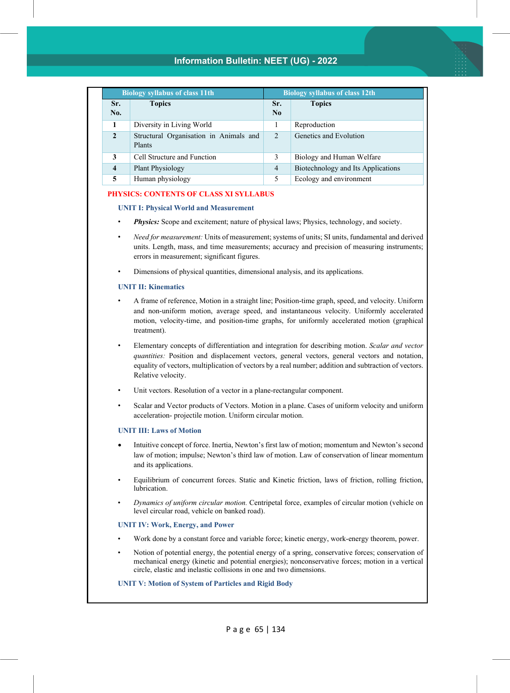# **Information Bulletin: NEET (UG) - 2022**

|                         | <b>Biology syllabus of class 11th</b>            |                               | <b>Biology syllabus of class 12th</b> |  |
|-------------------------|--------------------------------------------------|-------------------------------|---------------------------------------|--|
| Sr.<br>No.              | <b>Topics</b>                                    | Sr.<br>$\mathbf{N}\mathbf{0}$ | <b>Topics</b>                         |  |
| 1                       | Diversity in Living World                        |                               | Reproduction                          |  |
| $\overline{2}$          | Structural Organisation in Animals and<br>Plants | $\mathcal{D}_{\mathcal{L}}$   | Genetics and Evolution                |  |
| 3                       | Cell Structure and Function                      | 3                             | Biology and Human Welfare             |  |
| $\overline{\mathbf{4}}$ | Plant Physiology                                 | $\overline{4}$                | Biotechnology and Its Applications    |  |
| 5                       | Human physiology                                 | 5                             | Ecology and environment               |  |

# **PHYSICS: CONTENTS OF CLASS XI SYLLABUS**

# **UNIT I: Physical World and Measurement**

- *Physics:* Scope and excitement; nature of physical laws; Physics, technology, and society.
- *Need for measurement:* Units of measurement; systems of units; SI units, fundamental and derived units. Length, mass, and time measurements; accuracy and precision of measuring instruments; errors in measurement; significant figures.
- Dimensions of physical quantities, dimensional analysis, and its applications.

# **UNIT II: Kinematics**

- A frame of reference, Motion in a straight line; Position-time graph, speed, and velocity. Uniform and non-uniform motion, average speed, and instantaneous velocity. Uniformly accelerated motion, velocity-time, and position-time graphs, for uniformly accelerated motion (graphical treatment).
- Elementary concepts of differentiation and integration for describing motion. *Scalar and vector quantities:* Position and displacement vectors, general vectors, general vectors and notation, equality of vectors, multiplication of vectors by a real number; addition and subtraction of vectors. Relative velocity.
- Unit vectors. Resolution of a vector in a plane-rectangular component.
- Scalar and Vector products of Vectors. Motion in a plane. Cases of uniform velocity and uniform acceleration- projectile motion. Uniform circular motion.

### **UNIT III: Laws of Motion**

- Intuitive concept of force. Inertia, Newton's first law of motion; momentum and Newton's second law of motion; impulse; Newton's third law of motion. Law of conservation of linear momentum and its applications.
- Equilibrium of concurrent forces. Static and Kinetic friction, laws of friction, rolling friction, lubrication.
- *Dynamics of uniform circular motion.* Centripetal force, examples of circular motion (vehicle on level circular road, vehicle on banked road).

## **UNIT IV: Work, Energy, and Power**

- Work done by a constant force and variable force; kinetic energy, work-energy theorem, power.
- Notion of potential energy, the potential energy of a spring, conservative forces; conservation of mechanical energy (kinetic and potential energies); nonconservative forces; motion in a vertical circle, elastic and inelastic collisions in one and two dimensions.

**UNIT V: Motion of System of Particles and Rigid Body**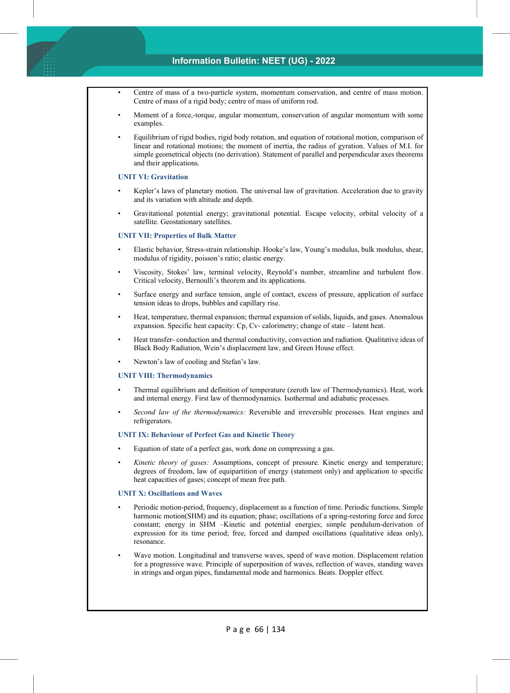

- Centre of mass of a two-particle system, momentum conservation, and centre of mass motion. Centre of mass of a rigid body; centre of mass of uniform rod.
- Moment of a force,-torque, angular momentum, conservation of angular momentum with some examples.
- Equilibrium of rigid bodies, rigid body rotation, and equation of rotational motion, comparison of linear and rotational motions; the moment of inertia, the radius of gyration. Values of M.I. for simple geometrical objects (no derivation). Statement of parallel and perpendicular axes theorems and their applications.

# **UNIT VI: Gravitation**

- Kepler's laws of planetary motion. The universal law of gravitation. Acceleration due to gravity and its variation with altitude and depth.
- Gravitational potential energy; gravitational potential. Escape velocity, orbital velocity of a satellite. Geostationary satellites.

# **UNIT VII: Properties of Bulk Matter**

- Elastic behavior, Stress-strain relationship. Hooke's law, Young's modulus, bulk modulus, shear, modulus of rigidity, poisson's ratio; elastic energy.
- Viscosity, Stokes' law, terminal velocity, Reynold's number, streamline and turbulent flow. Critical velocity, Bernoulli's theorem and its applications.
- Surface energy and surface tension, angle of contact, excess of pressure, application of surface tension ideas to drops, bubbles and capillary rise.
- Heat, temperature, thermal expansion; thermal expansion of solids, liquids, and gases. Anomalous expansion. Specific heat capacity: Cp, Cv- calorimetry; change of state – latent heat.
- Heat transfer- conduction and thermal conductivity, convection and radiation. Qualitative ideas of Black Body Radiation, Wein's displacement law, and Green House effect.
- Newton's law of cooling and Stefan's law.

## **UNIT VIII: Thermodynamics**

- Thermal equilibrium and definition of temperature (zeroth law of Thermodynamics). Heat, work and internal energy. First law of thermodynamics. Isothermal and adiabatic processes.
- *Second law of the thermodynamics:* Reversible and irreversible processes. Heat engines and refrigerators.

## **UNIT IX: Behaviour of Perfect Gas and Kinetic Theory**

- Equation of state of a perfect gas, work done on compressing a gas.
- *Kinetic theory of gases:* Assumptions, concept of pressure. Kinetic energy and temperature; degrees of freedom, law of equipartition of energy (statement only) and application to specific heat capacities of gases; concept of mean free path.

## **UNIT X: Oscillations and Waves**

- Periodic motion-period, frequency, displacement as a function of time. Periodic functions. Simple harmonic motion(SHM) and its equation; phase; oscillations of a spring-restoring force and force constant; energy in SHM –Kinetic and potential energies; simple pendulum-derivation of expression for its time period; free, forced and damped oscillations (qualitative ideas only), resonance.
- Wave motion. Longitudinal and transverse waves, speed of wave motion. Displacement relation for a progressive wave. Principle of superposition of waves, reflection of waves, standing waves in strings and organ pipes, fundamental mode and harmonics. Beats. Doppler effect.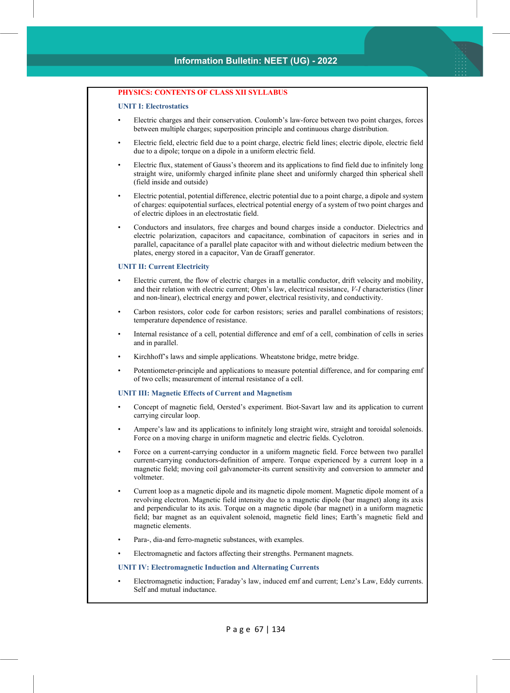

# **PHYSICS: CONTENTS OF CLASS XII SYLLABUS**

### **UNIT I: Electrostatics**

- Electric charges and their conservation. Coulomb's law-force between two point charges, forces between multiple charges; superposition principle and continuous charge distribution.
- Electric field, electric field due to a point charge, electric field lines; electric dipole, electric field due to a dipole; torque on a dipole in a uniform electric field.
- Electric flux, statement of Gauss's theorem and its applications to find field due to infinitely long straight wire, uniformly charged infinite plane sheet and uniformly charged thin spherical shell (field inside and outside)
- Electric potential, potential difference, electric potential due to a point charge, a dipole and system of charges: equipotential surfaces, electrical potential energy of a system of two point charges and of electric diploes in an electrostatic field.
- Conductors and insulators, free charges and bound charges inside a conductor. Dielectrics and electric polarization, capacitors and capacitance, combination of capacitors in series and in parallel, capacitance of a parallel plate capacitor with and without dielectric medium between the plates, energy stored in a capacitor, Van de Graaff generator.

### **UNIT II: Current Electricity**

- Electric current, the flow of electric charges in a metallic conductor, drift velocity and mobility, and their relation with electric current; Ohm's law, electrical resistance, *V-I* characteristics (liner and non-linear), electrical energy and power, electrical resistivity, and conductivity.
- Carbon resistors, color code for carbon resistors; series and parallel combinations of resistors; temperature dependence of resistance.
- Internal resistance of a cell, potential difference and emf of a cell, combination of cells in series and in parallel.
- Kirchhoff's laws and simple applications. Wheatstone bridge, metre bridge.
- Potentiometer-principle and applications to measure potential difference, and for comparing emf of two cells; measurement of internal resistance of a cell.

### **UNIT III: Magnetic Effects of Current and Magnetism**

- Concept of magnetic field, Oersted's experiment. Biot-Savart law and its application to current carrying circular loop.
- Ampere's law and its applications to infinitely long straight wire, straight and toroidal solenoids. Force on a moving charge in uniform magnetic and electric fields. Cyclotron.
- Force on a current-carrying conductor in a uniform magnetic field. Force between two parallel current-carrying conductors-definition of ampere. Torque experienced by a current loop in a magnetic field; moving coil galvanometer-its current sensitivity and conversion to ammeter and voltmeter.
- Current loop as a magnetic dipole and its magnetic dipole moment. Magnetic dipole moment of a revolving electron. Magnetic field intensity due to a magnetic dipole (bar magnet) along its axis and perpendicular to its axis. Torque on a magnetic dipole (bar magnet) in a uniform magnetic field; bar magnet as an equivalent solenoid, magnetic field lines; Earth's magnetic field and magnetic elements.
- Para-, dia-and ferro-magnetic substances, with examples.
- Electromagnetic and factors affecting their strengths. Permanent magnets.

**UNIT IV: Electromagnetic Induction and Alternating Currents**

• Electromagnetic induction; Faraday's law, induced emf and current; Lenz's Law, Eddy currents. Self and mutual inductance.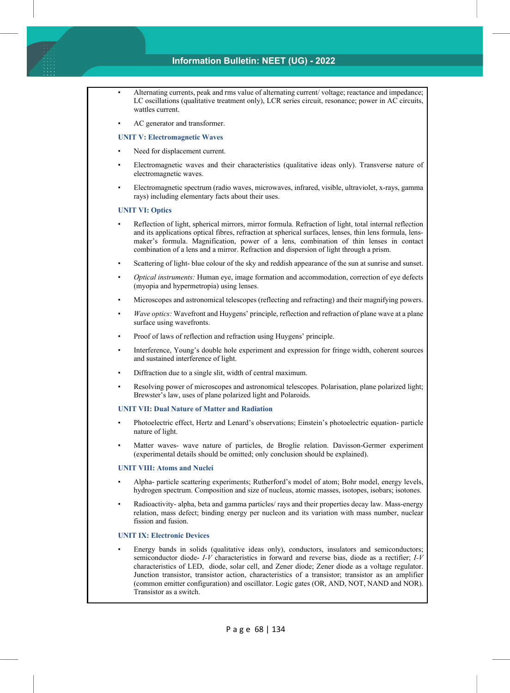

# **Information Bulletin: NEET (UG) - 2022**

- Alternating currents, peak and rms value of alternating current/voltage; reactance and impedance; LC oscillations (qualitative treatment only), LCR series circuit, resonance; power in AC circuits, wattles current.
- AC generator and transformer.

## **UNIT V: Electromagnetic Waves**

- Need for displacement current.
- Electromagnetic waves and their characteristics (qualitative ideas only). Transverse nature of electromagnetic waves.
- Electromagnetic spectrum (radio waves, microwaves, infrared, visible, ultraviolet, x-rays, gamma rays) including elementary facts about their uses.

# **UNIT VI: Optics**

- Reflection of light, spherical mirrors, mirror formula. Refraction of light, total internal reflection and its applications optical fibres, refraction at spherical surfaces, lenses, thin lens formula, lensmaker's formula. Magnification, power of a lens, combination of thin lenses in contact combination of a lens and a mirror. Refraction and dispersion of light through a prism.
- Scattering of light- blue colour of the sky and reddish appearance of the sun at sunrise and sunset.
- *Optical instruments:* Human eye, image formation and accommodation, correction of eye defects (myopia and hypermetropia) using lenses.
- Microscopes and astronomical telescopes (reflecting and refracting) and their magnifying powers.
- *Wave optics:* Wavefront and Huygens' principle, reflection and refraction of plane wave at a plane surface using wavefronts.
- Proof of laws of reflection and refraction using Huygens' principle.
- Interference, Young's double hole experiment and expression for fringe width, coherent sources and sustained interference of light.
- Diffraction due to a single slit, width of central maximum.
- Resolving power of microscopes and astronomical telescopes. Polarisation, plane polarized light; Brewster's law, uses of plane polarized light and Polaroids.

### **UNIT VII: Dual Nature of Matter and Radiation**

- Photoelectric effect, Hertz and Lenard's observations; Einstein's photoelectric equation- particle nature of light.
- Matter waves- wave nature of particles, de Broglie relation. Davisson-Germer experiment (experimental details should be omitted; only conclusion should be explained).

#### **UNIT VIII: Atoms and Nuclei**

- Alpha- particle scattering experiments; Rutherford's model of atom; Bohr model, energy levels, hydrogen spectrum. Composition and size of nucleus, atomic masses, isotopes, isobars; isotones.
- Radioactivity- alpha, beta and gamma particles/ rays and their properties decay law. Mass-energy relation, mass defect; binding energy per nucleon and its variation with mass number, nuclear fission and fusion.

### **UNIT IX: Electronic Devices**

• Energy bands in solids (qualitative ideas only), conductors, insulators and semiconductors; semiconductor diode- *I-V* characteristics in forward and reverse bias, diode as a rectifier; *I-V*  characteristics of LED, diode, solar cell, and Zener diode; Zener diode as a voltage regulator. Junction transistor, transistor action, characteristics of a transistor; transistor as an amplifier (common emitter configuration) and oscillator. Logic gates (OR, AND, NOT, NAND and NOR). Transistor as a switch.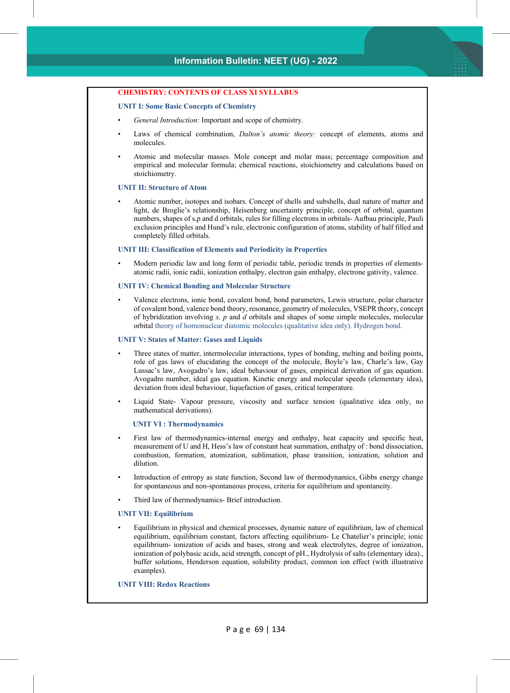

### **UNIT I: Some Basic Concepts of Chemistry**

- *General Introduction:* Important and scope of chemistry.
- Laws of chemical combination, *Dalton's atomic theory:* concept of elements, atoms and molecules.
- Atomic and molecular masses. Mole concept and molar mass; percentage composition and empirical and molecular formula; chemical reactions, stoichiometry and calculations based on stoichiometry.

## **UNIT II: Structure of Atom**

• Atomic number, isotopes and isobars. Concept of shells and subshells, dual nature of matter and light, de Broglie's relationship, Heisenberg uncertainty principle, concept of orbital, quantum numbers, shapes of s,p and d orbitals, rules for filling electrons in orbitals- Aufbau principle, Pauli exclusion principles and Hund's rule, electronic configuration of atoms, stability of half filled and completely filled orbitals.

### **UNIT III: Classification of Elements and Periodicity in Properties**

• Modern periodic law and long form of periodic table, periodic trends in properties of elementsatomic radii, ionic radii, ionization enthalpy, electron gain enthalpy, electrone gativity, valence.

# **UNIT IV: Chemical Bonding and Molecular Structure**

• Valence electrons, ionic bond, covalent bond, bond parameters, Lewis structure, polar character of covalent bond, valence bond theory, resonance, geometry of molecules, VSEPR theory, concept of hybridization involving *s, p* and *d* orbitals and shapes of some simple molecules, molecular orbital theory of homonuclear diatomic molecules (qualitative idea only). Hydrogen bond.

## **UNIT V: States of Matter: Gases and Liquids**

- Three states of matter, intermolecular interactions, types of bonding, melting and boiling points, role of gas laws of elucidating the concept of the molecule, Boyle's law, Charle's law, Gay Lussac's law, Avogadro's law, ideal behaviour of gases, empirical derivation of gas equation. Avogadro number, ideal gas equation. Kinetic energy and molecular speeds (elementary idea), deviation from ideal behaviour, liquefaction of gases, critical temperature.
- Liquid State- Vapour pressure, viscosity and surface tension (qualitative idea only, no mathematical derivations).

#### **UNIT VI : Thermodynamics**

- First law of thermodynamics-internal energy and enthalpy, heat capacity and specific heat, measurement of U and H, Hess's law of constant heat summation, enthalpy of : bond dissociation, combustion, formation, atomization, sublimation, phase transition, ionization, solution and dilution.
- Introduction of entropy as state function, Second law of thermodynamics, Gibbs energy change for spontaneous and non-spontaneous process, criteria for equilibrium and spontaneity.
- Third law of thermodynamics- Brief introduction.

# **UNIT VII: Equilibrium**

• Equilibrium in physical and chemical processes, dynamic nature of equilibrium, law of chemical equilibrium, equilibrium constant, factors affecting equilibrium- Le Chatelier's principle; ionic equilibrium- ionization of acids and bases, strong and weak electrolytes, degree of ionization, ionization of polybasic acids, acid strength, concept of pH., Hydrolysis of salts (elementary idea)., buffer solutions, Henderson equation, solubility product, common ion effect (with illustrative examples).

### **UNIT VIII: Redox Reactions**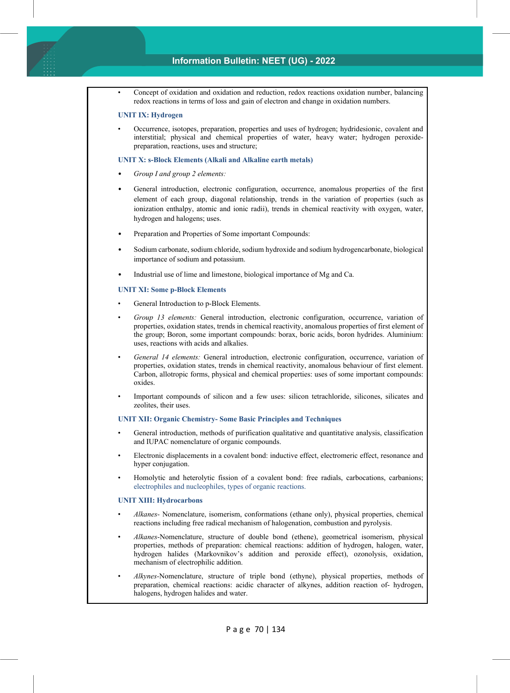

• Concept of oxidation and oxidation and reduction, redox reactions oxidation number, balancing redox reactions in terms of loss and gain of electron and change in oxidation numbers.

## **UNIT IX: Hydrogen**

• Occurrence, isotopes, preparation, properties and uses of hydrogen; hydridesionic, covalent and interstitial; physical and chemical properties of water, heavy water; hydrogen peroxidepreparation, reactions, uses and structure;

## **UNIT X: s-Block Elements (Alkali and Alkaline earth metals)**

- *Group I and group 2 elements:*
- General introduction, electronic configuration, occurrence, anomalous properties of the first element of each group, diagonal relationship, trends in the variation of properties (such as ionization enthalpy, atomic and ionic radii), trends in chemical reactivity with oxygen, water, hydrogen and halogens; uses.
- Preparation and Properties of Some important Compounds:
- Sodium carbonate, sodium chloride, sodium hydroxide and sodium hydrogencarbonate, biological importance of sodium and potassium.
- Industrial use of lime and limestone, biological importance of Mg and Ca.

# **UNIT XI: Some p-Block Elements**

- General Introduction to p-Block Elements.
- *Group 13 elements:* General introduction, electronic configuration, occurrence, variation of properties, oxidation states, trends in chemical reactivity, anomalous properties of first element of the group; Boron, some important compounds: borax, boric acids, boron hydrides. Aluminium: uses, reactions with acids and alkalies.
- *General 14 elements:* General introduction, electronic configuration, occurrence, variation of properties, oxidation states, trends in chemical reactivity, anomalous behaviour of first element. Carbon, allotropic forms, physical and chemical properties: uses of some important compounds: oxides.
- Important compounds of silicon and a few uses: silicon tetrachloride, silicones, silicates and zeolites, their uses.

## **UNIT XII: Organic Chemistry- Some Basic Principles and Techniques**

- General introduction, methods of purification qualitative and quantitative analysis, classification and IUPAC nomenclature of organic compounds.
- Electronic displacements in a covalent bond: inductive effect, electromeric effect, resonance and hyper conjugation.
- Homolytic and heterolytic fission of a covalent bond: free radials, carbocations, carbanions; electrophiles and nucleophiles, types of organic reactions.

#### **UNIT XIII: Hydrocarbons**

- *Alkanes-* Nomenclature, isomerism, conformations (ethane only), physical properties, chemical reactions including free radical mechanism of halogenation, combustion and pyrolysis.
- *Alkanes-*Nomenclature, structure of double bond (ethene), geometrical isomerism, physical properties, methods of preparation: chemical reactions: addition of hydrogen, halogen, water, hydrogen halides (Markovnikov's addition and peroxide effect), ozonolysis, oxidation, mechanism of electrophilic addition.
- *Alkynes-*Nomenclature, structure of triple bond (ethyne), physical properties, methods of preparation, chemical reactions: acidic character of alkynes, addition reaction of- hydrogen, halogens, hydrogen halides and water.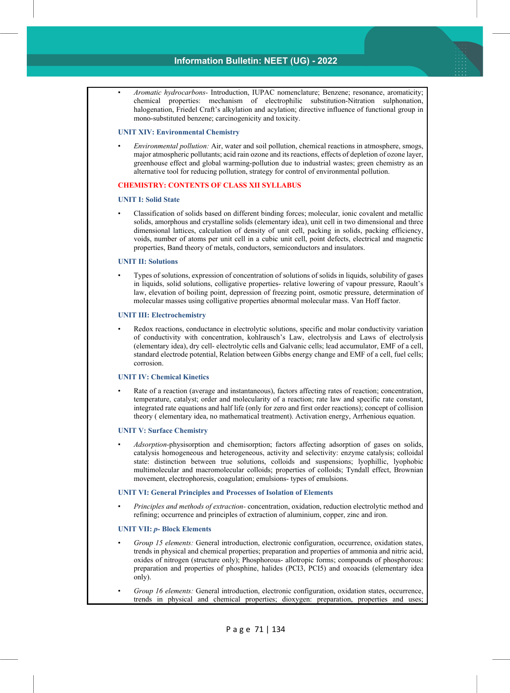- 
- *Aromatic hydrocarbons-* Introduction, IUPAC nomenclature; Benzene; resonance, aromaticity; chemical properties: mechanism of electrophilic substitution-Nitration sulphonation, halogenation, Friedel Craft's alkylation and acylation; directive influence of functional group in mono-substituted benzene; carcinogenicity and toxicity.

# **UNIT XIV: Environmental Chemistry**

• *Environmental pollution:* Air, water and soil pollution, chemical reactions in atmosphere, smogs, major atmospheric pollutants; acid rain ozone and its reactions, effects of depletion of ozone layer, greenhouse effect and global warming-pollution due to industrial wastes; green chemistry as an alternative tool for reducing pollution, strategy for control of environmental pollution.

## **CHEMISTRY: CONTENTS OF CLASS XII SYLLABUS**

### **UNIT I: Solid State**

• Classification of solids based on different binding forces; molecular, ionic covalent and metallic solids, amorphous and crystalline solids (elementary idea), unit cell in two dimensional and three dimensional lattices, calculation of density of unit cell, packing in solids, packing efficiency, voids, number of atoms per unit cell in a cubic unit cell, point defects, electrical and magnetic properties, Band theory of metals, conductors, semiconductors and insulators.

### **UNIT II: Solutions**

• Types of solutions, expression of concentration of solutions of solids in liquids, solubility of gases in liquids, solid solutions, colligative properties- relative lowering of vapour pressure, Raoult's law, elevation of boiling point, depression of freezing point, osmotic pressure, determination of molecular masses using colligative properties abnormal molecular mass. Van Hoff factor.

### **UNIT III: Electrochemistry**

Redox reactions, conductance in electrolytic solutions, specific and molar conductivity variation of conductivity with concentration, kohlrausch's Law, electrolysis and Laws of electrolysis (elementary idea), dry cell- electrolytic cells and Galvanic cells; lead accumulator, EMF of a cell, standard electrode potential, Relation between Gibbs energy change and EMF of a cell, fuel cells; corrosion.

# **UNIT IV: Chemical Kinetics**

Rate of a reaction (average and instantaneous), factors affecting rates of reaction; concentration, temperature, catalyst; order and molecularity of a reaction; rate law and specific rate constant, integrated rate equations and half life (only for zero and first order reactions); concept of collision theory ( elementary idea, no mathematical treatment). Activation energy, Arrhenious equation.

## **UNIT V: Surface Chemistry**

• *Adsorption-*physisorption and chemisorption; factors affecting adsorption of gases on solids, catalysis homogeneous and heterogeneous, activity and selectivity: enzyme catalysis; colloidal state: distinction between true solutions, colloids and suspensions; lyophillic, lyophobic multimolecular and macromolecular colloids; properties of colloids; Tyndall effect, Brownian movement, electrophoresis, coagulation; emulsions- types of emulsions.

## **UNIT VI: General Principles and Processes of Isolation of Elements**

• *Principles and methods of extraction-* concentration, oxidation, reduction electrolytic method and refining; occurrence and principles of extraction of aluminium, copper, zinc and iron.

# **UNIT VII: p- Block Elements**

- *Group 15 elements:* General introduction, electronic configuration, occurrence, oxidation states, trends in physical and chemical properties; preparation and properties of ammonia and nitric acid, oxides of nitrogen (structure only); Phosphorous- allotropic forms; compounds of phosphorous: preparation and properties of phosphine, halides (PCI3, PCI5) and oxoacids (elementary idea only).
- *Group 16 elements:* General introduction, electronic configuration, oxidation states, occurrence, trends in physical and chemical properties; dioxygen: preparation, properties and uses;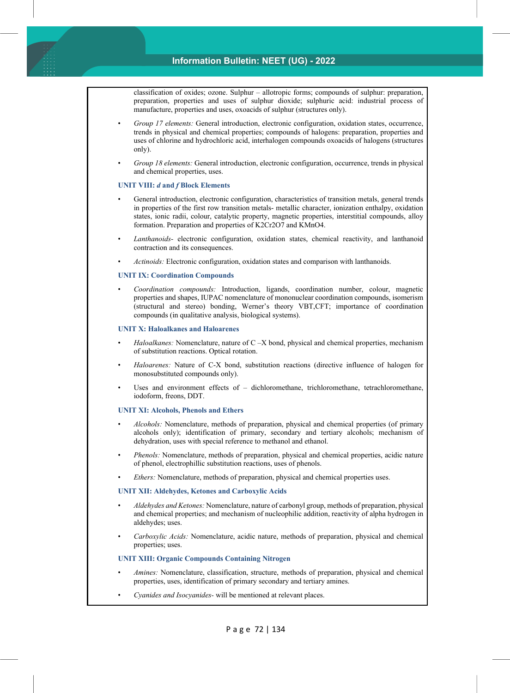classification of oxides; ozone. Sulphur – allotropic forms; compounds of sulphur: preparation, preparation, properties and uses of sulphur dioxide; sulphuric acid: industrial process of manufacture, properties and uses, oxoacids of sulphur (structures only).

- *Group 17 elements:* General introduction, electronic configuration, oxidation states, occurrence, trends in physical and chemical properties; compounds of halogens: preparation, properties and uses of chlorine and hydrochloric acid, interhalogen compounds oxoacids of halogens (structures only).
- *Group 18 elements:* General introduction, electronic configuration, occurrence, trends in physical and chemical properties, uses.

# **UNIT VIII:** *d* **and** *f* **Block Elements**

- General introduction, electronic configuration, characteristics of transition metals, general trends in properties of the first row transition metals- metallic character, ionization enthalpy, oxidation states, ionic radii, colour, catalytic property, magnetic properties, interstitial compounds, alloy formation. Preparation and properties of K2Cr2O7 and KMnO4.
- *Lanthanoids-* electronic configuration, oxidation states, chemical reactivity, and lanthanoid contraction and its consequences.
- *Actinoids:* Electronic configuration, oxidation states and comparison with lanthanoids.

# **UNIT IX: Coordination Compounds**

• *Coordination compounds:* Introduction, ligands, coordination number, colour, magnetic properties and shapes, IUPAC nomenclature of mononuclear coordination compounds, isomerism (structural and stereo) bonding, Werner's theory VBT,CFT; importance of coordination compounds (in qualitative analysis, biological systems).

### **UNIT X: Haloalkanes and Haloarenes**

- *Haloalkanes:* Nomenclature, nature of C –X bond, physical and chemical properties, mechanism of substitution reactions. Optical rotation.
- *Haloarenes:* Nature of C-X bond, substitution reactions (directive influence of halogen for monosubstituted compounds only).
- Uses and environment effects of dichloromethane, trichloromethane, tetrachloromethane, iodoform, freons, DDT.

### **UNIT XI: Alcohols, Phenols and Ethers**

- *Alcohols:* Nomenclature, methods of preparation, physical and chemical properties (of primary alcohols only); identification of primary, secondary and tertiary alcohols; mechanism of dehydration, uses with special reference to methanol and ethanol.
- *Phenols:* Nomenclature, methods of preparation, physical and chemical properties, acidic nature of phenol, electrophillic substitution reactions, uses of phenols.
- *Ethers:* Nomenclature, methods of preparation, physical and chemical properties uses.

### **UNIT XII: Aldehydes, Ketones and Carboxylic Acids**

- *Aldehydes and Ketones:* Nomenclature, nature of carbonyl group, methods of preparation, physical and chemical properties; and mechanism of nucleophilic addition, reactivity of alpha hydrogen in aldehydes; uses.
- *Carboxylic Acids:* Nomenclature, acidic nature, methods of preparation, physical and chemical properties; uses.

## **UNIT XIII: Organic Compounds Containing Nitrogen**

- *Amines:* Nomenclature, classification, structure, methods of preparation, physical and chemical properties, uses, identification of primary secondary and tertiary amines.
- *Cyanides and Isocyanides-* will be mentioned at relevant places.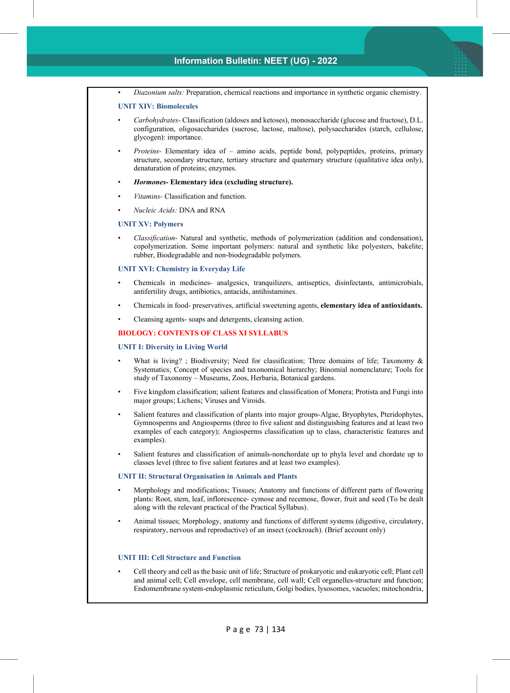• *Diazonium salts:* Preparation, chemical reactions and importance in synthetic organic chemistry.

### **UNIT XIV: Biomolecules**

- *Carbohydrates-* Classification (aldoses and ketoses), monosaccharide (glucose and fructose), D.L. configuration, oligosaccharides (sucrose, lactose, maltose), polysaccharides (starch, cellulose, glycogen): importance.
- *Proteins-* Elementary idea of amino acids, peptide bond, polypeptides, proteins, primary structure, secondary structure, tertiary structure and quaternary structure (qualitative idea only), denaturation of proteins; enzymes.
- *Hormones-* **Elementary idea (excluding structure).**
- *Vitamins-* Classification and function.
- *Nucleic Acids:* DNA and RNA

## **UNIT XV: Polymers**

• *Classification-* Natural and synthetic, methods of polymerization (addition and condensation), copolymerization. Some important polymers: natural and synthetic like polyesters, bakelite; rubber, Biodegradable and non-biodegradable polymers.

### **UNIT XVI: Chemistry in Everyday Life**

- Chemicals in medicines- analgesics, tranquilizers, antiseptics, disinfectants, antimicrobials, antifertility drugs, antibiotics, antacids, antihistamines.
- Chemicals in food- preservatives, artificial sweetening agents, **elementary idea of antioxidants.**
- Cleansing agents- soaps and detergents, cleansing action.

# **BIOLOGY: CONTENTS OF CLASS XI SYLLABUS**

### **UNIT I: Diversity in Living World**

- What is living?; Biodiversity; Need for classification; Three domains of life; Taxonomy  $\&$ Systematics; Concept of species and taxonomical hierarchy; Binomial nomenclature; Tools for study of Taxonomy – Museums, Zoos, Herbaria, Botanical gardens.
- Five kingdom classification; salient features and classification of Monera; Protista and Fungi into major groups; Lichens; Viruses and Viroids.
- Salient features and classification of plants into major groups-Algae, Bryophytes, Pteridophytes, Gymnosperms and Angiosperms (three to five salient and distinguishing features and at least two examples of each category); Angiosperms classification up to class, characteristic features and examples).
- Salient features and classification of animals-nonchordate up to phyla level and chordate up to classes level (three to five salient features and at least two examples).

### **UNIT II: Structural Organisation in Animals and Plants**

- Morphology and modifications; Tissues; Anatomy and functions of different parts of flowering plants: Root, stem, leaf, inflorescence- cymose and recemose, flower, fruit and seed (To be dealt along with the relevant practical of the Practical Syllabus).
- Animal tissues; Morphology, anatomy and functions of different systems (digestive, circulatory, respiratory, nervous and reproductive) of an insect (cockroach). (Brief account only)

# **UNIT III: Cell Structure and Function**

• Cell theory and cell as the basic unit of life; Structure of prokaryotic and eukaryotic cell; Plant cell and animal cell; Cell envelope, cell membrane, cell wall; Cell organelles-structure and function; Endomembrane system-endoplasmic reticulum, Golgi bodies, lysosomes, vacuoles; mitochondria,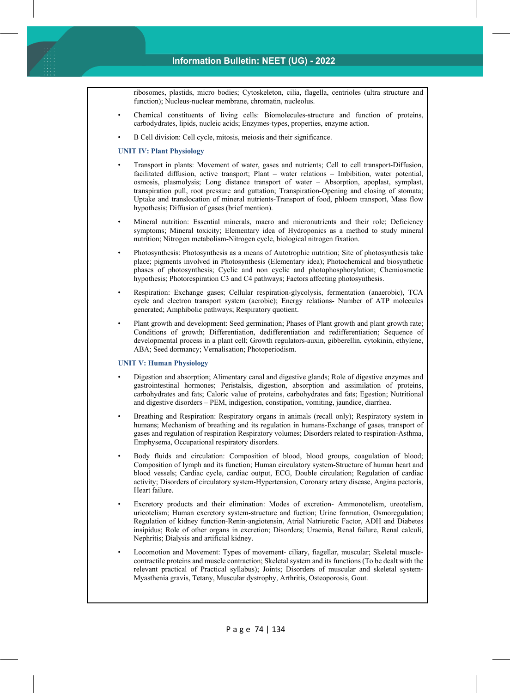

ribosomes, plastids, micro bodies; Cytoskeleton, cilia, flagella, centrioles (ultra structure and function); Nucleus-nuclear membrane, chromatin, nucleolus.

- Chemical constituents of living cells: Biomolecules-structure and function of proteins, carbodydrates, lipids, nucleic acids; Enzymes-types, properties, enzyme action.
- B Cell division: Cell cycle, mitosis, meiosis and their significance.

## **UNIT IV: Plant Physiology**

- Transport in plants: Movement of water, gases and nutrients; Cell to cell transport-Diffusion, facilitated diffusion, active transport; Plant – water relations – Imbibition, water potential, osmosis, plasmolysis; Long distance transport of water – Absorption, apoplast, symplast, transpiration pull, root pressure and guttation; Transpiration-Opening and closing of stomata; Uptake and translocation of mineral nutrients-Transport of food, phloem transport, Mass flow hypothesis; Diffusion of gases (brief mention).
- Mineral nutrition: Essential minerals, macro and micronutrients and their role; Deficiency symptoms; Mineral toxicity; Elementary idea of Hydroponics as a method to study mineral nutrition; Nitrogen metabolism-Nitrogen cycle, biological nitrogen fixation.
- Photosynthesis: Photosynthesis as a means of Autotrophic nutrition; Site of photosynthesis take place; pigments involved in Photosynthesis (Elementary idea); Photochemical and biosynthetic phases of photosynthesis; Cyclic and non cyclic and photophosphorylation; Chemiosmotic hypothesis; Photorespiration C3 and C4 pathways; Factors affecting photosynthesis.
- Respiration: Exchange gases; Cellular respiration-glycolysis, fermentation (anaerobic), TCA cycle and electron transport system (aerobic); Energy relations- Number of ATP molecules generated; Amphibolic pathways; Respiratory quotient.
- Plant growth and development: Seed germination; Phases of Plant growth and plant growth rate; Conditions of growth; Differentiation, dedifferentiation and redifferentiation; Sequence of developmental process in a plant cell; Growth regulators-auxin, gibberellin, cytokinin, ethylene, ABA; Seed dormancy; Vernalisation; Photoperiodism.

# **UNIT V: Human Physiology**

- Digestion and absorption; Alimentary canal and digestive glands; Role of digestive enzymes and gastrointestinal hormones; Peristalsis, digestion, absorption and assimilation of proteins, carbohydrates and fats; Caloric value of proteins, carbohydrates and fats; Egestion; Nutritional and digestive disorders – PEM, indigestion, constipation, vomiting, jaundice, diarrhea.
- Breathing and Respiration: Respiratory organs in animals (recall only); Respiratory system in humans; Mechanism of breathing and its regulation in humans-Exchange of gases, transport of gases and regulation of respiration Respiratory volumes; Disorders related to respiration-Asthma, Emphysema, Occupational respiratory disorders.
- Body fluids and circulation: Composition of blood, blood groups, coagulation of blood; Composition of lymph and its function; Human circulatory system-Structure of human heart and blood vessels; Cardiac cycle, cardiac output, ECG, Double circulation; Regulation of cardiac activity; Disorders of circulatory system-Hypertension, Coronary artery disease, Angina pectoris, Heart failure.
- Excretory products and their elimination: Modes of excretion- Ammonotelism, ureotelism, uricotelism; Human excretory system-structure and fuction; Urine formation, Osmoregulation; Regulation of kidney function-Renin-angiotensin, Atrial Natriuretic Factor, ADH and Diabetes insipidus; Role of other organs in excretion; Disorders; Uraemia, Renal failure, Renal calculi, Nephritis; Dialysis and artificial kidney.
- Locomotion and Movement: Types of movement- ciliary, fiagellar, muscular; Skeletal musclecontractile proteins and muscle contraction; Skeletal system and its functions (To be dealt with the relevant practical of Practical syllabus); Joints; Disorders of muscular and skeletal system-Myasthenia gravis, Tetany, Muscular dystrophy, Arthritis, Osteoporosis, Gout.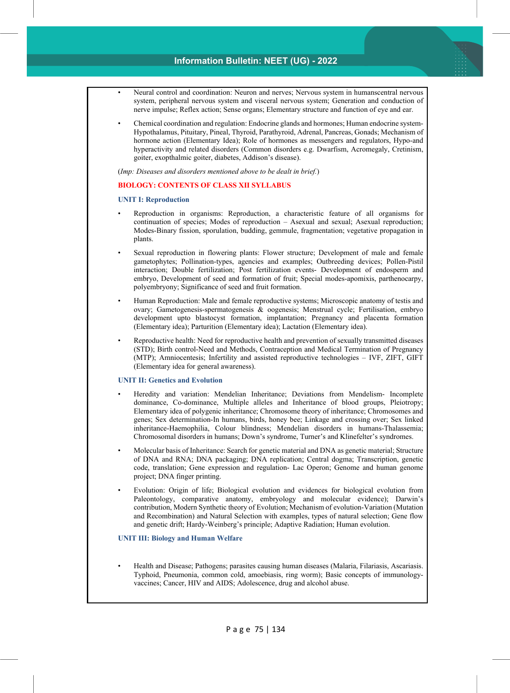

| $\bullet$ | Neural control and coordination: Neuron and nerves; Nervous system in humanscentral nervous<br>system, peripheral nervous system and visceral nervous system; Generation and conduction of<br>nerve impulse; Reflex action; Sense organs; Elementary structure and function of eye and ear.                                                                                                                                                                                                                                                                      |
|-----------|------------------------------------------------------------------------------------------------------------------------------------------------------------------------------------------------------------------------------------------------------------------------------------------------------------------------------------------------------------------------------------------------------------------------------------------------------------------------------------------------------------------------------------------------------------------|
| ٠         | Chemical coordination and regulation: Endocrine glands and hormones; Human endocrine system-<br>Hypothalamus, Pituitary, Pineal, Thyroid, Parathyroid, Adrenal, Pancreas, Gonads; Mechanism of<br>hormone action (Elementary Idea); Role of hormones as messengers and regulators, Hypo-and<br>hyperactivity and related disorders (Common disorders e.g. Dwarfism, Acromegaly, Cretinism,<br>goiter, exopthalmic goiter, diabetes, Addison's disease).                                                                                                          |
|           | (Imp: Diseases and disorders mentioned above to be dealt in brief.)                                                                                                                                                                                                                                                                                                                                                                                                                                                                                              |
|           | <b>BIOLOGY: CONTENTS OF CLASS XII SYLLABUS</b>                                                                                                                                                                                                                                                                                                                                                                                                                                                                                                                   |
|           | <b>UNIT I: Reproduction</b>                                                                                                                                                                                                                                                                                                                                                                                                                                                                                                                                      |
| ٠         | Reproduction in organisms: Reproduction, a characteristic feature of all organisms for<br>continuation of species; Modes of reproduction - Asexual and sexual; Asexual reproduction;<br>Modes-Binary fission, sporulation, budding, gemmule, fragmentation; vegetative propagation in<br>plants.                                                                                                                                                                                                                                                                 |
| ٠         | Sexual reproduction in flowering plants: Flower structure; Development of male and female<br>gametophytes; Pollination-types, agencies and examples; Outbreeding devices; Pollen-Pistil<br>interaction; Double fertilization; Post fertilization events- Development of endosperm and<br>embryo, Development of seed and formation of fruit; Special modes-apomixis, parthenocarpy,<br>polyembryony; Significance of seed and fruit formation.                                                                                                                   |
| ٠         | Human Reproduction: Male and female reproductive systems; Microscopic anatomy of testis and<br>ovary; Gametogenesis-spermatogenesis & oogenesis; Menstrual cycle; Fertilisation, embryo<br>development upto blastocyst formation, implantation; Pregnancy and placenta formation<br>(Elementary idea); Parturition (Elementary idea); Lactation (Elementary idea).                                                                                                                                                                                               |
| ٠         | Reproductive health: Need for reproductive health and prevention of sexually transmitted diseases<br>(STD); Birth control-Need and Methods, Contraception and Medical Termination of Pregnancy<br>(MTP); Amniocentesis; Infertility and assisted reproductive technologies - IVF, ZIFT, GIFT<br>(Elementary idea for general awareness).                                                                                                                                                                                                                         |
|           | <b>UNIT II: Genetics and Evolution</b>                                                                                                                                                                                                                                                                                                                                                                                                                                                                                                                           |
| ٠         | Heredity and variation: Mendelian Inheritance; Deviations from Mendelism- Incomplete<br>dominance, Co-dominance, Multiple alleles and Inheritance of blood groups, Pleiotropy;<br>Elementary idea of polygenic inheritance; Chromosome theory of inheritance; Chromosomes and<br>genes; Sex determination-In humans, birds, honey bee; Linkage and crossing over; Sex linked<br>inheritance-Haemophilia, Colour blindness; Mendelian disorders in humans-Thalassemia;<br>Chromosomal disorders in humans; Down's syndrome, Turner's and Klinefelter's syndromes. |
| ٠         | Molecular basis of Inheritance: Search for genetic material and DNA as genetic material; Structure<br>of DNA and RNA; DNA packaging; DNA replication; Central dogma; Transcription, genetic<br>code, translation; Gene expression and regulation- Lac Operon; Genome and human genome<br>project; DNA finger printing.                                                                                                                                                                                                                                           |
| ٠         | Evolution: Origin of life; Biological evolution and evidences for biological evolution from<br>Paleontology, comparative anatomy, embryology and molecular evidence); Darwin's<br>contribution, Modern Synthetic theory of Evolution; Mechanism of evolution-Variation (Mutation<br>and Recombination) and Natural Selection with examples, types of natural selection; Gene flow<br>and genetic drift; Hardy-Weinberg's principle; Adaptive Radiation; Human evolution.                                                                                         |
|           | <b>UNIT III: Biology and Human Welfare</b>                                                                                                                                                                                                                                                                                                                                                                                                                                                                                                                       |
|           |                                                                                                                                                                                                                                                                                                                                                                                                                                                                                                                                                                  |
| ٠         | Health and Disease; Pathogens; parasites causing human diseases (Malaria, Filariasis, Ascariasis.<br>Typhoid, Pneumonia, common cold, amoebiasis, ring worm); Basic concepts of immunology-<br>vaccines; Cancer, HIV and AIDS; Adolescence, drug and alcohol abuse.                                                                                                                                                                                                                                                                                              |